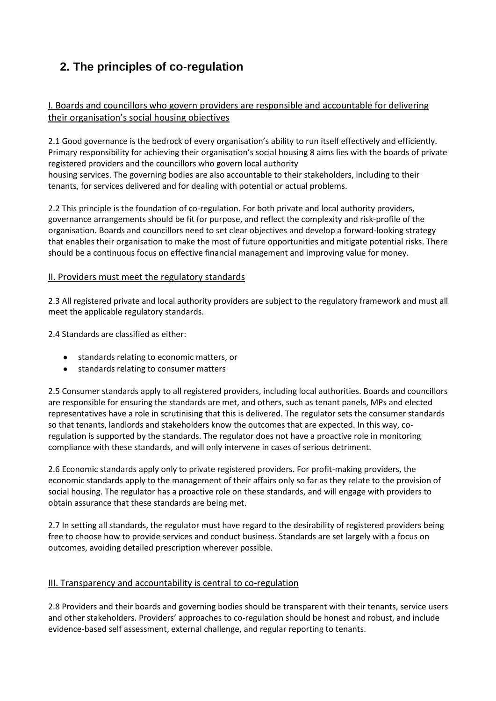# **2. The principles of co-regulation**

# I. Boards and councillors who govern providers are responsible and accountable for delivering their organisation's social housing objectives

2.1 Good governance is the bedrock of every organisation's ability to run itself effectively and efficiently. Primary responsibility for achieving their organisation's social housing 8 aims lies with the boards of private registered providers and the councillors who govern local authority housing services. The governing bodies are also accountable to their stakeholders, including to their tenants, for services delivered and for dealing with potential or actual problems.

2.2 This principle is the foundation of co-regulation. For both private and local authority providers, governance arrangements should be fit for purpose, and reflect the complexity and risk-profile of the organisation. Boards and councillors need to set clear objectives and develop a forward-looking strategy that enables their organisation to make the most of future opportunities and mitigate potential risks. There should be a continuous focus on effective financial management and improving value for money.

## II. Providers must meet the regulatory standards

2.3 All registered private and local authority providers are subject to the regulatory framework and must all meet the applicable regulatory standards.

2.4 Standards are classified as either:

- standards relating to economic matters, or
- $\bullet$ standards relating to consumer matters

2.5 Consumer standards apply to all registered providers, including local authorities. Boards and councillors are responsible for ensuring the standards are met, and others, such as tenant panels, MPs and elected representatives have a role in scrutinising that this is delivered. The regulator sets the consumer standards so that tenants, landlords and stakeholders know the outcomes that are expected. In this way, coregulation is supported by the standards. The regulator does not have a proactive role in monitoring compliance with these standards, and will only intervene in cases of serious detriment.

2.6 Economic standards apply only to private registered providers. For profit-making providers, the economic standards apply to the management of their affairs only so far as they relate to the provision of social housing. The regulator has a proactive role on these standards, and will engage with providers to obtain assurance that these standards are being met.

2.7 In setting all standards, the regulator must have regard to the desirability of registered providers being free to choose how to provide services and conduct business. Standards are set largely with a focus on outcomes, avoiding detailed prescription wherever possible.

#### III. Transparency and accountability is central to co-regulation

2.8 Providers and their boards and governing bodies should be transparent with their tenants, service users and other stakeholders. Providers' approaches to co-regulation should be honest and robust, and include evidence-based self assessment, external challenge, and regular reporting to tenants.